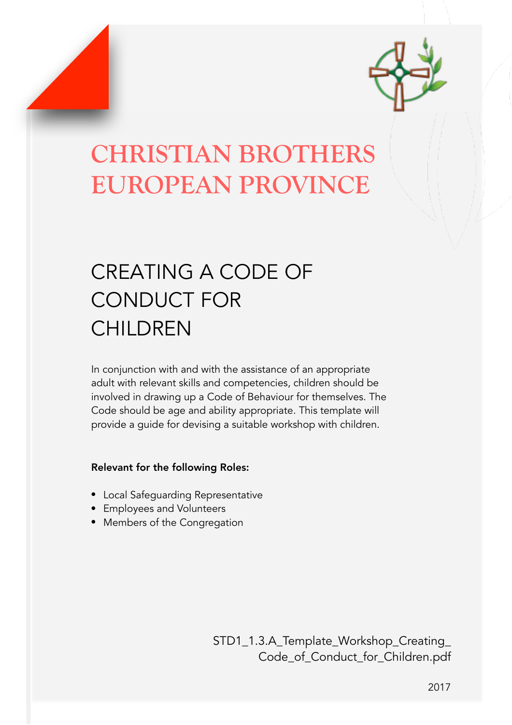

# **CHRISTIAN BROTHERS EUROPEAN PROVINCE**

## CREATING A CODE OF CONDUCT FOR **CHILDREN**

In conjunction with and with the assistance of an appropriate adult with relevant skills and competencies, children should be involved in drawing up a Code of Behaviour for themselves. The Code should be age and ability appropriate. This template will provide a guide for devising a suitable workshop with children.

## Relevant for the following Roles:

- Local Safeguarding Representative
- Employees and Volunteers
- Members of the Congregation

STD1\_1.3.A\_Template\_Workshop\_Creating\_ Code\_of\_Conduct\_for\_Children.pdf